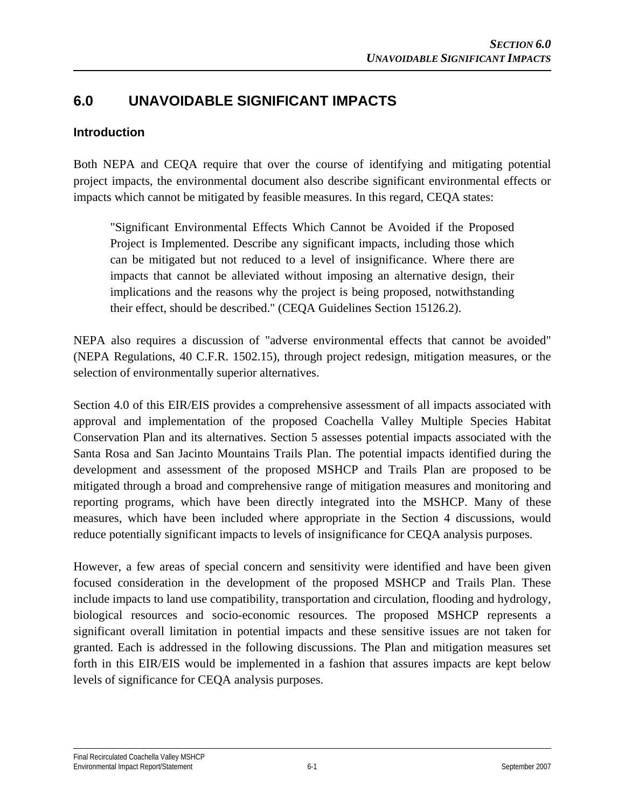### **6.0 UNAVOIDABLE SIGNIFICANT IMPACTS**

#### **Introduction**

Both NEPA and CEQA require that over the course of identifying and mitigating potential project impacts, the environmental document also describe significant environmental effects or impacts which cannot be mitigated by feasible measures. In this regard, CEQA states:

"Significant Environmental Effects Which Cannot be Avoided if the Proposed Project is Implemented. Describe any significant impacts, including those which can be mitigated but not reduced to a level of insignificance. Where there are impacts that cannot be alleviated without imposing an alternative design, their implications and the reasons why the project is being proposed, notwithstanding their effect, should be described." (CEQA Guidelines Section 15126.2).

NEPA also requires a discussion of "adverse environmental effects that cannot be avoided" (NEPA Regulations, 40 C.F.R. 1502.15), through project redesign, mitigation measures, or the selection of environmentally superior alternatives.

Section 4.0 of this EIR/EIS provides a comprehensive assessment of all impacts associated with approval and implementation of the proposed Coachella Valley Multiple Species Habitat Conservation Plan and its alternatives. Section 5 assesses potential impacts associated with the Santa Rosa and San Jacinto Mountains Trails Plan. The potential impacts identified during the development and assessment of the proposed MSHCP and Trails Plan are proposed to be mitigated through a broad and comprehensive range of mitigation measures and monitoring and reporting programs, which have been directly integrated into the MSHCP. Many of these measures, which have been included where appropriate in the Section 4 discussions, would reduce potentially significant impacts to levels of insignificance for CEQA analysis purposes.

However, a few areas of special concern and sensitivity were identified and have been given focused consideration in the development of the proposed MSHCP and Trails Plan. These include impacts to land use compatibility, transportation and circulation, flooding and hydrology, biological resources and socio-economic resources. The proposed MSHCP represents a significant overall limitation in potential impacts and these sensitive issues are not taken for granted. Each is addressed in the following discussions. The Plan and mitigation measures set forth in this EIR/EIS would be implemented in a fashion that assures impacts are kept below levels of significance for CEQA analysis purposes.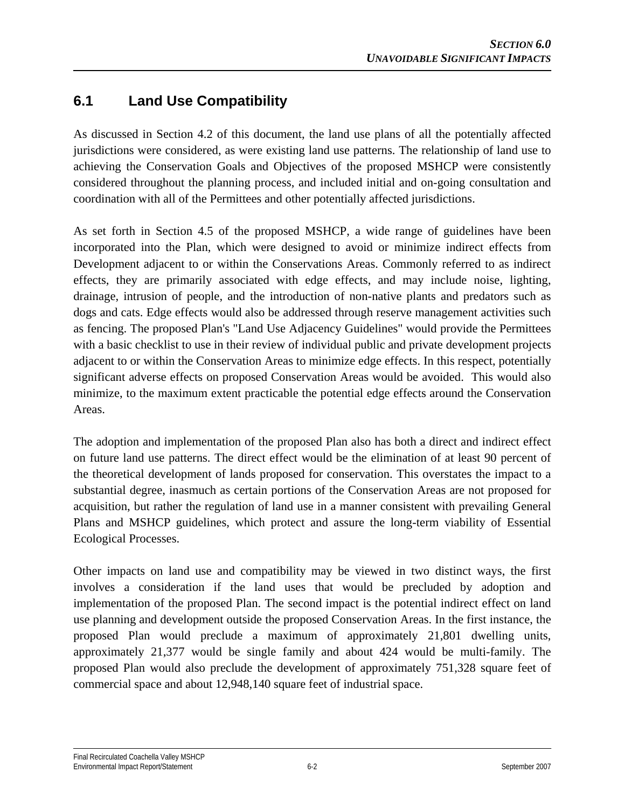## **6.1 Land Use Compatibility**

As discussed in Section 4.2 of this document, the land use plans of all the potentially affected jurisdictions were considered, as were existing land use patterns. The relationship of land use to achieving the Conservation Goals and Objectives of the proposed MSHCP were consistently considered throughout the planning process, and included initial and on-going consultation and coordination with all of the Permittees and other potentially affected jurisdictions.

As set forth in Section 4.5 of the proposed MSHCP, a wide range of guidelines have been incorporated into the Plan, which were designed to avoid or minimize indirect effects from Development adjacent to or within the Conservations Areas. Commonly referred to as indirect effects, they are primarily associated with edge effects, and may include noise, lighting, drainage, intrusion of people, and the introduction of non-native plants and predators such as dogs and cats. Edge effects would also be addressed through reserve management activities such as fencing. The proposed Plan's "Land Use Adjacency Guidelines" would provide the Permittees with a basic checklist to use in their review of individual public and private development projects adjacent to or within the Conservation Areas to minimize edge effects. In this respect, potentially significant adverse effects on proposed Conservation Areas would be avoided. This would also minimize, to the maximum extent practicable the potential edge effects around the Conservation Areas.

The adoption and implementation of the proposed Plan also has both a direct and indirect effect on future land use patterns. The direct effect would be the elimination of at least 90 percent of the theoretical development of lands proposed for conservation. This overstates the impact to a substantial degree, inasmuch as certain portions of the Conservation Areas are not proposed for acquisition, but rather the regulation of land use in a manner consistent with prevailing General Plans and MSHCP guidelines, which protect and assure the long-term viability of Essential Ecological Processes.

Other impacts on land use and compatibility may be viewed in two distinct ways, the first involves a consideration if the land uses that would be precluded by adoption and implementation of the proposed Plan. The second impact is the potential indirect effect on land use planning and development outside the proposed Conservation Areas. In the first instance, the proposed Plan would preclude a maximum of approximately 21,801 dwelling units, approximately 21,377 would be single family and about 424 would be multi-family. The proposed Plan would also preclude the development of approximately 751,328 square feet of commercial space and about 12,948,140 square feet of industrial space.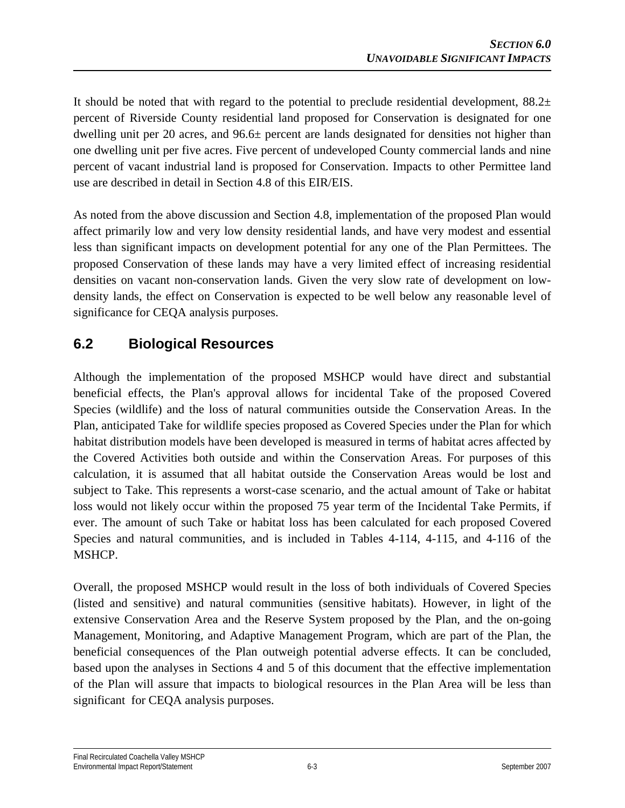It should be noted that with regard to the potential to preclude residential development,  $88.2<sub>±</sub>$ percent of Riverside County residential land proposed for Conservation is designated for one dwelling unit per 20 acres, and 96.6± percent are lands designated for densities not higher than one dwelling unit per five acres. Five percent of undeveloped County commercial lands and nine percent of vacant industrial land is proposed for Conservation. Impacts to other Permittee land use are described in detail in Section 4.8 of this EIR/EIS.

As noted from the above discussion and Section 4.8, implementation of the proposed Plan would affect primarily low and very low density residential lands, and have very modest and essential less than significant impacts on development potential for any one of the Plan Permittees. The proposed Conservation of these lands may have a very limited effect of increasing residential densities on vacant non-conservation lands. Given the very slow rate of development on lowdensity lands, the effect on Conservation is expected to be well below any reasonable level of significance for CEQA analysis purposes.

### **6.2 Biological Resources**

Although the implementation of the proposed MSHCP would have direct and substantial beneficial effects, the Plan's approval allows for incidental Take of the proposed Covered Species (wildlife) and the loss of natural communities outside the Conservation Areas. In the Plan, anticipated Take for wildlife species proposed as Covered Species under the Plan for which habitat distribution models have been developed is measured in terms of habitat acres affected by the Covered Activities both outside and within the Conservation Areas. For purposes of this calculation, it is assumed that all habitat outside the Conservation Areas would be lost and subject to Take. This represents a worst-case scenario, and the actual amount of Take or habitat loss would not likely occur within the proposed 75 year term of the Incidental Take Permits, if ever. The amount of such Take or habitat loss has been calculated for each proposed Covered Species and natural communities, and is included in Tables 4-114, 4-115, and 4-116 of the MSHCP.

Overall, the proposed MSHCP would result in the loss of both individuals of Covered Species (listed and sensitive) and natural communities (sensitive habitats). However, in light of the extensive Conservation Area and the Reserve System proposed by the Plan, and the on-going Management, Monitoring, and Adaptive Management Program, which are part of the Plan, the beneficial consequences of the Plan outweigh potential adverse effects. It can be concluded, based upon the analyses in Sections 4 and 5 of this document that the effective implementation of the Plan will assure that impacts to biological resources in the Plan Area will be less than significant for CEQA analysis purposes.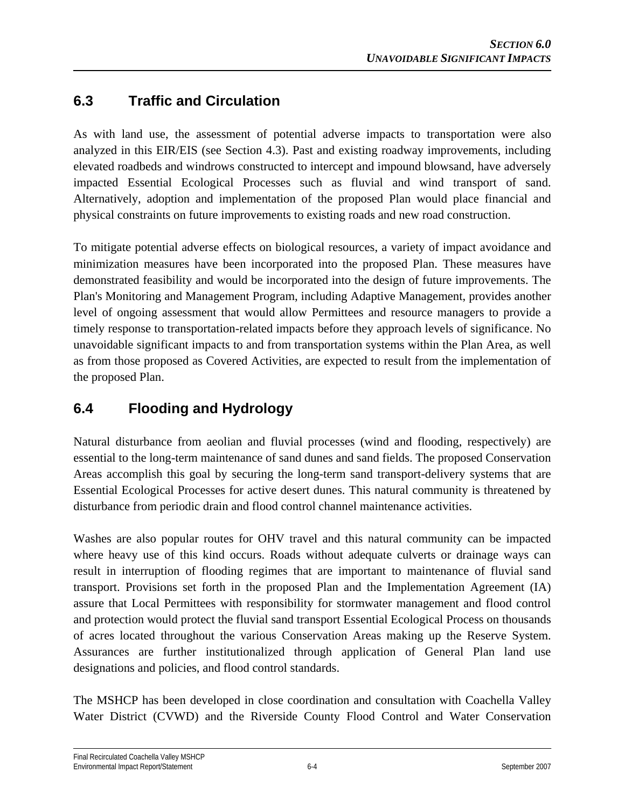# **6.3 Traffic and Circulation**

As with land use, the assessment of potential adverse impacts to transportation were also analyzed in this EIR/EIS (see Section 4.3). Past and existing roadway improvements, including elevated roadbeds and windrows constructed to intercept and impound blowsand, have adversely impacted Essential Ecological Processes such as fluvial and wind transport of sand. Alternatively, adoption and implementation of the proposed Plan would place financial and physical constraints on future improvements to existing roads and new road construction.

To mitigate potential adverse effects on biological resources, a variety of impact avoidance and minimization measures have been incorporated into the proposed Plan. These measures have demonstrated feasibility and would be incorporated into the design of future improvements. The Plan's Monitoring and Management Program, including Adaptive Management, provides another level of ongoing assessment that would allow Permittees and resource managers to provide a timely response to transportation-related impacts before they approach levels of significance. No unavoidable significant impacts to and from transportation systems within the Plan Area, as well as from those proposed as Covered Activities, are expected to result from the implementation of the proposed Plan.

# **6.4 Flooding and Hydrology**

Natural disturbance from aeolian and fluvial processes (wind and flooding, respectively) are essential to the long-term maintenance of sand dunes and sand fields. The proposed Conservation Areas accomplish this goal by securing the long-term sand transport-delivery systems that are Essential Ecological Processes for active desert dunes. This natural community is threatened by disturbance from periodic drain and flood control channel maintenance activities.

Washes are also popular routes for OHV travel and this natural community can be impacted where heavy use of this kind occurs. Roads without adequate culverts or drainage ways can result in interruption of flooding regimes that are important to maintenance of fluvial sand transport. Provisions set forth in the proposed Plan and the Implementation Agreement (IA) assure that Local Permittees with responsibility for stormwater management and flood control and protection would protect the fluvial sand transport Essential Ecological Process on thousands of acres located throughout the various Conservation Areas making up the Reserve System. Assurances are further institutionalized through application of General Plan land use designations and policies, and flood control standards.

The MSHCP has been developed in close coordination and consultation with Coachella Valley Water District (CVWD) and the Riverside County Flood Control and Water Conservation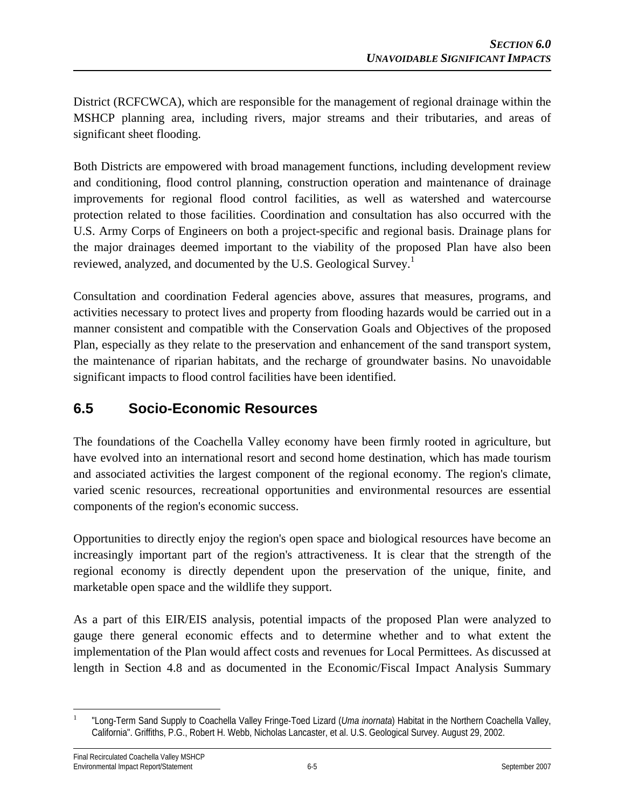District (RCFCWCA), which are responsible for the management of regional drainage within the MSHCP planning area, including rivers, major streams and their tributaries, and areas of significant sheet flooding.

Both Districts are empowered with broad management functions, including development review and conditioning, flood control planning, construction operation and maintenance of drainage improvements for regional flood control facilities, as well as watershed and watercourse protection related to those facilities. Coordination and consultation has also occurred with the U.S. Army Corps of Engineers on both a project-specific and regional basis. Drainage plans for the major drainages deemed important to the viability of the proposed Plan have also been reviewed, analyzed, and documented by the U.S. Geological Survey.<sup>1</sup>

Consultation and coordination Federal agencies above, assures that measures, programs, and activities necessary to protect lives and property from flooding hazards would be carried out in a manner consistent and compatible with the Conservation Goals and Objectives of the proposed Plan, especially as they relate to the preservation and enhancement of the sand transport system, the maintenance of riparian habitats, and the recharge of groundwater basins. No unavoidable significant impacts to flood control facilities have been identified.

### **6.5 Socio-Economic Resources**

The foundations of the Coachella Valley economy have been firmly rooted in agriculture, but have evolved into an international resort and second home destination, which has made tourism and associated activities the largest component of the regional economy. The region's climate, varied scenic resources, recreational opportunities and environmental resources are essential components of the region's economic success.

Opportunities to directly enjoy the region's open space and biological resources have become an increasingly important part of the region's attractiveness. It is clear that the strength of the regional economy is directly dependent upon the preservation of the unique, finite, and marketable open space and the wildlife they support.

As a part of this EIR/EIS analysis, potential impacts of the proposed Plan were analyzed to gauge there general economic effects and to determine whether and to what extent the implementation of the Plan would affect costs and revenues for Local Permittees. As discussed at length in Section 4.8 and as documented in the Economic/Fiscal Impact Analysis Summary

 $\overline{a}$ 1 "Long-Term Sand Supply to Coachella Valley Fringe-Toed Lizard (*Uma inornata*) Habitat in the Northern Coachella Valley, California". Griffiths, P.G., Robert H. Webb, Nicholas Lancaster, et al. U.S. Geological Survey. August 29, 2002.